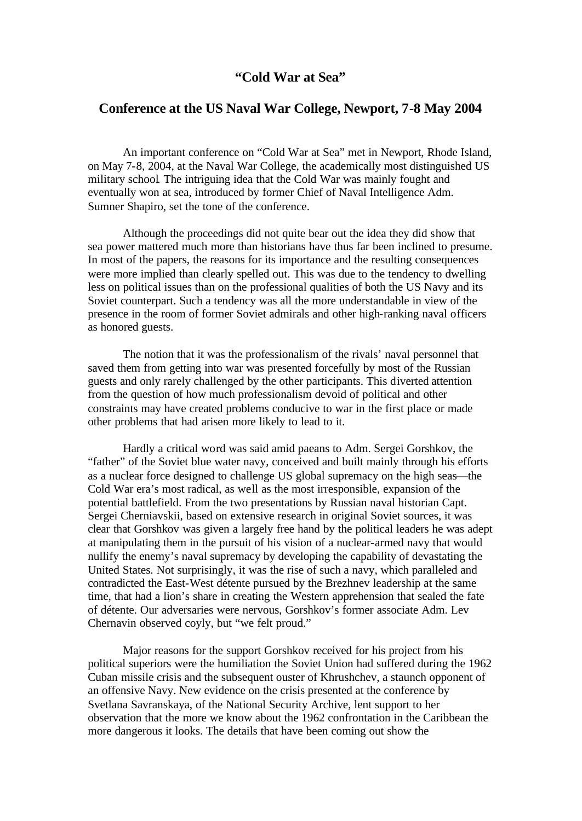## **"Cold War at Sea"**

## **Conference at the US Naval War College, Newport, 7-8 May 2004**

An important conference on "Cold War at Sea" met in Newport, Rhode Island, on May 7-8, 2004, at the Naval War College, the academically most distinguished US military school. The intriguing idea that the Cold War was mainly fought and eventually won at sea, introduced by former Chief of Naval Intelligence Adm. Sumner Shapiro, set the tone of the conference.

Although the proceedings did not quite bear out the idea they did show that sea power mattered much more than historians have thus far been inclined to presume. In most of the papers, the reasons for its importance and the resulting consequences were more implied than clearly spelled out. This was due to the tendency to dwelling less on political issues than on the professional qualities of both the US Navy and its Soviet counterpart. Such a tendency was all the more understandable in view of the presence in the room of former Soviet admirals and other high-ranking naval officers as honored guests.

The notion that it was the professionalism of the rivals' naval personnel that saved them from getting into war was presented forcefully by most of the Russian guests and only rarely challenged by the other participants. This diverted attention from the question of how much professionalism devoid of political and other constraints may have created problems conducive to war in the first place or made other problems that had arisen more likely to lead to it.

Hardly a critical word was said amid paeans to Adm. Sergei Gorshkov, the "father" of the Soviet blue water navy, conceived and built mainly through his efforts as a nuclear force designed to challenge US global supremacy on the high seas—the Cold War era's most radical, as well as the most irresponsible, expansion of the potential battlefield. From the two presentations by Russian naval historian Capt. Sergei Cherniavskii, based on extensive research in original Soviet sources, it was clear that Gorshkov was given a largely free hand by the political leaders he was adept at manipulating them in the pursuit of his vision of a nuclear-armed navy that would nullify the enemy's naval supremacy by developing the capability of devastating the United States. Not surprisingly, it was the rise of such a navy, which paralleled and contradicted the East-West détente pursued by the Brezhnev leadership at the same time, that had a lion's share in creating the Western apprehension that sealed the fate of détente. Our adversaries were nervous, Gorshkov's former associate Adm. Lev Chernavin observed coyly, but "we felt proud."

Major reasons for the support Gorshkov received for his project from his political superiors were the humiliation the Soviet Union had suffered during the 1962 Cuban missile crisis and the subsequent ouster of Khrushchev, a staunch opponent of an offensive Navy. New evidence on the crisis presented at the conference by Svetlana Savranskaya, of the National Security Archive, lent support to her observation that the more we know about the 1962 confrontation in the Caribbean the more dangerous it looks. The details that have been coming out show the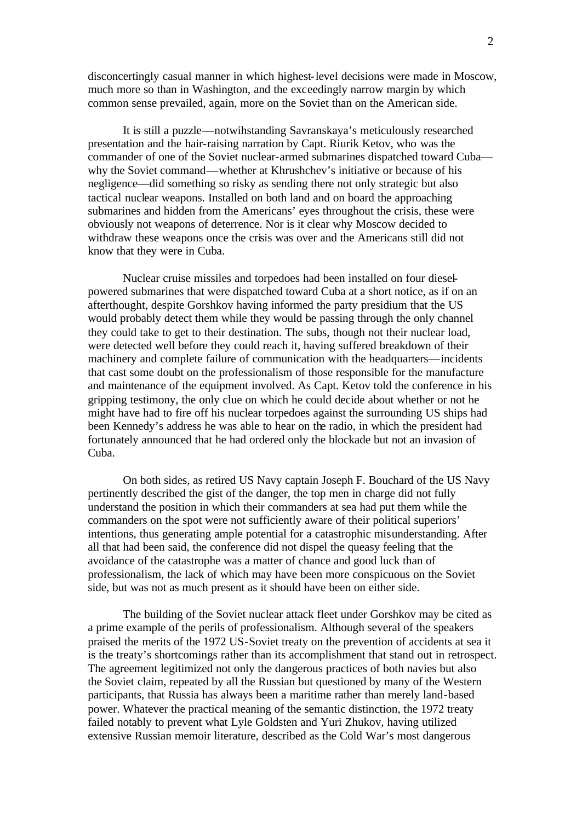disconcertingly casual manner in which highest-level decisions were made in Moscow, much more so than in Washington, and the exceedingly narrow margin by which common sense prevailed, again, more on the Soviet than on the American side.

It is still a puzzle—notwihstanding Savranskaya's meticulously researched presentation and the hair-raising narration by Capt. Riurik Ketov, who was the commander of one of the Soviet nuclear-armed submarines dispatched toward Cuba why the Soviet command—whether at Khrushchev's initiative or because of his negligence—did something so risky as sending there not only strategic but also tactical nuclear weapons. Installed on both land and on board the approaching submarines and hidden from the Americans' eyes throughout the crisis, these were obviously not weapons of deterrence. Nor is it clear why Moscow decided to withdraw these weapons once the crisis was over and the Americans still did not know that they were in Cuba.

Nuclear cruise missiles and torpedoes had been installed on four dieselpowered submarines that were dispatched toward Cuba at a short notice, as if on an afterthought, despite Gorshkov having informed the party presidium that the US would probably detect them while they would be passing through the only channel they could take to get to their destination. The subs, though not their nuclear load, were detected well before they could reach it, having suffered breakdown of their machinery and complete failure of communication with the headquarters—incidents that cast some doubt on the professionalism of those responsible for the manufacture and maintenance of the equipment involved. As Capt. Ketov told the conference in his gripping testimony, the only clue on which he could decide about whether or not he might have had to fire off his nuclear torpedoes against the surrounding US ships had been Kennedy's address he was able to hear on the radio, in which the president had fortunately announced that he had ordered only the blockade but not an invasion of Cuba.

On both sides, as retired US Navy captain Joseph F. Bouchard of the US Navy pertinently described the gist of the danger, the top men in charge did not fully understand the position in which their commanders at sea had put them while the commanders on the spot were not sufficiently aware of their political superiors' intentions, thus generating ample potential for a catastrophic misunderstanding. After all that had been said, the conference did not dispel the queasy feeling that the avoidance of the catastrophe was a matter of chance and good luck than of professionalism, the lack of which may have been more conspicuous on the Soviet side, but was not as much present as it should have been on either side.

The building of the Soviet nuclear attack fleet under Gorshkov may be cited as a prime example of the perils of professionalism. Although several of the speakers praised the merits of the 1972 US-Soviet treaty on the prevention of accidents at sea it is the treaty's shortcomings rather than its accomplishment that stand out in retrospect. The agreement legitimized not only the dangerous practices of both navies but also the Soviet claim, repeated by all the Russian but questioned by many of the Western participants, that Russia has always been a maritime rather than merely land-based power. Whatever the practical meaning of the semantic distinction, the 1972 treaty failed notably to prevent what Lyle Goldsten and Yuri Zhukov, having utilized extensive Russian memoir literature, described as the Cold War's most dangerous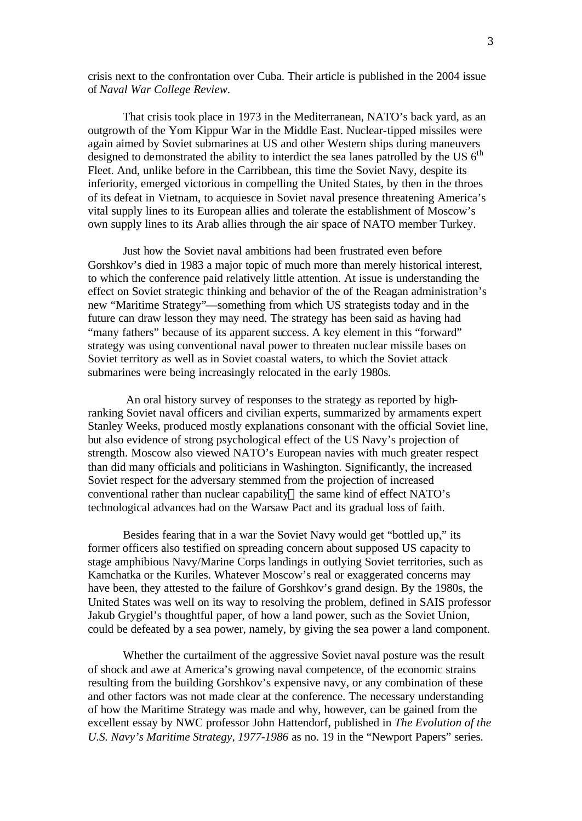crisis next to the confrontation over Cuba. Their article is published in the 2004 issue of *Naval War College Review.*

That crisis took place in 1973 in the Mediterranean, NATO's back yard, as an outgrowth of the Yom Kippur War in the Middle East. Nuclear-tipped missiles were again aimed by Soviet submarines at US and other Western ships during maneuvers designed to demonstrated the ability to interdict the sea lanes patrolled by the US  $6<sup>th</sup>$ Fleet. And, unlike before in the Carribbean, this time the Soviet Navy, despite its inferiority, emerged victorious in compelling the United States, by then in the throes of its defeat in Vietnam, to acquiesce in Soviet naval presence threatening America's vital supply lines to its European allies and tolerate the establishment of Moscow's own supply lines to its Arab allies through the air space of NATO member Turkey.

Just how the Soviet naval ambitions had been frustrated even before Gorshkov's died in 1983 a major topic of much more than merely historical interest, to which the conference paid relatively little attention. At issue is understanding the effect on Soviet strategic thinking and behavior of the of the Reagan administration's new "Maritime Strategy"—something from which US strategists today and in the future can draw lesson they may need. The strategy has been said as having had "many fathers" because of its apparent success. A key element in this "forward" strategy was using conventional naval power to threaten nuclear missile bases on Soviet territory as well as in Soviet coastal waters, to which the Soviet attack submarines were being increasingly relocated in the early 1980s.

 An oral history survey of responses to the strategy as reported by highranking Soviet naval officers and civilian experts, summarized by armaments expert Stanley Weeks, produced mostly explanations consonant with the official Soviet line, but also evidence of strong psychological effect of the US Navy's projection of strength. Moscow also viewed NATO's European navies with much greater respect than did many officials and politicians in Washington. Significantly, the increased Soviet respect for the adversary stemmed from the projection of increased conventional rather than nuclear capability—the same kind of effect NATO's technological advances had on the Warsaw Pact and its gradual loss of faith.

Besides fearing that in a war the Soviet Navy would get "bottled up," its former officers also testified on spreading concern about supposed US capacity to stage amphibious Navy/Marine Corps landings in outlying Soviet territories, such as Kamchatka or the Kuriles. Whatever Moscow's real or exaggerated concerns may have been, they attested to the failure of Gorshkov's grand design. By the 1980s, the United States was well on its way to resolving the problem, defined in SAIS professor Jakub Grygiel's thoughtful paper, of how a land power, such as the Soviet Union, could be defeated by a sea power, namely, by giving the sea power a land component.

Whether the curtailment of the aggressive Soviet naval posture was the result of shock and awe at America's growing naval competence, of the economic strains resulting from the building Gorshkov's expensive navy, or any combination of these and other factors was not made clear at the conference. The necessary understanding of how the Maritime Strategy was made and why, however, can be gained from the excellent essay by NWC professor John Hattendorf, published in *The Evolution of the U.S. Navy's Maritime Strategy, 1977-1986* as no. 19 in the "Newport Papers" series.